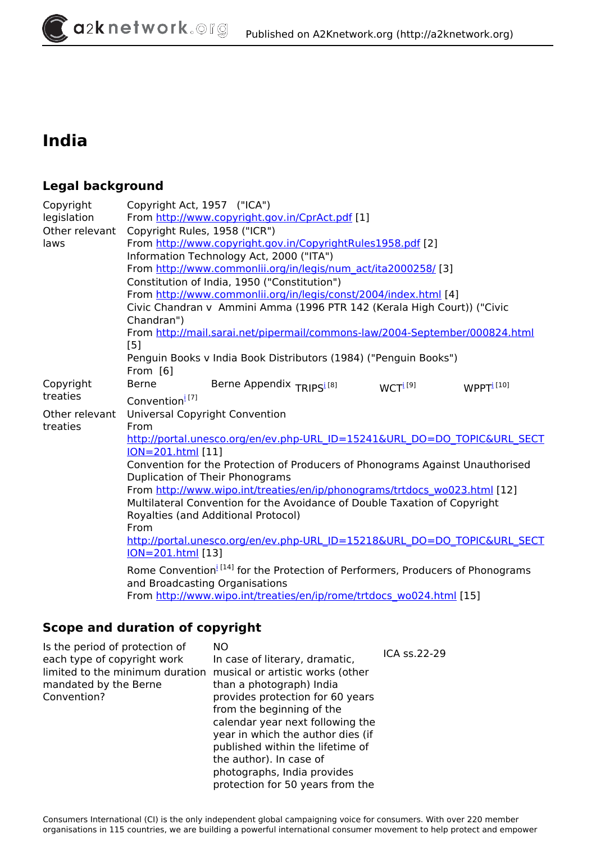# **India**

## **Legal background**

| Copyright      | Copyright Act, 1957 ("ICA")                                                                                                                                                                         |  |  |  |
|----------------|-----------------------------------------------------------------------------------------------------------------------------------------------------------------------------------------------------|--|--|--|
| legislation    | From http://www.copyright.gov.in/CprAct.pdf [1]                                                                                                                                                     |  |  |  |
| Other relevant | Copyright Rules, 1958 ("ICR")                                                                                                                                                                       |  |  |  |
| laws           | From http://www.copyright.gov.in/CopyrightRules1958.pdf [2]                                                                                                                                         |  |  |  |
|                | Information Technology Act, 2000 ("ITA")                                                                                                                                                            |  |  |  |
|                | From http://www.commonlii.org/in/legis/num_act/ita2000258/ [3]                                                                                                                                      |  |  |  |
|                | Constitution of India, 1950 ("Constitution")                                                                                                                                                        |  |  |  |
|                | From http://www.commonlii.org/in/legis/const/2004/index.html [4]                                                                                                                                    |  |  |  |
|                | Civic Chandran v Ammini Amma (1996 PTR 142 (Kerala High Court)) ("Civic                                                                                                                             |  |  |  |
|                | Chandran")                                                                                                                                                                                          |  |  |  |
|                | From http://mail.sarai.net/pipermail/commons-law/2004-September/000824.html                                                                                                                         |  |  |  |
|                | [5]                                                                                                                                                                                                 |  |  |  |
|                | Penguin Books v India Book Distributors (1984) ("Penguin Books")                                                                                                                                    |  |  |  |
|                | From [6]                                                                                                                                                                                            |  |  |  |
| Copyright      | <b>Berne</b><br>Berne Appendix TRIPS <sup>1[8]</sup><br>WCTI <sup>[9]</sup><br>WPPT <sup>i[10]</sup>                                                                                                |  |  |  |
| treaties       | Convention <sup>1[7]</sup>                                                                                                                                                                          |  |  |  |
| Other relevant | <b>Universal Copyright Convention</b>                                                                                                                                                               |  |  |  |
| treaties       | From                                                                                                                                                                                                |  |  |  |
|                | http://portal.unesco.org/en/ev.php-URL ID=15241&URL DO=DO TOPIC&URL SECT                                                                                                                            |  |  |  |
|                | <b>ION=201.html</b> [11]                                                                                                                                                                            |  |  |  |
|                | Convention for the Protection of Producers of Phonograms Against Unauthorised                                                                                                                       |  |  |  |
|                | Duplication of Their Phonograms                                                                                                                                                                     |  |  |  |
|                | From http://www.wipo.int/treaties/en/ip/phonograms/trtdocs wo023.html [12]                                                                                                                          |  |  |  |
|                | Multilateral Convention for the Avoidance of Double Taxation of Copyright                                                                                                                           |  |  |  |
|                | Royalties (and Additional Protocol)                                                                                                                                                                 |  |  |  |
|                | From                                                                                                                                                                                                |  |  |  |
|                | http://portal.unesco.org/en/ev.php-URL ID=15218&URL DO=DO TOPIC&URL SECT                                                                                                                            |  |  |  |
|                | <b>ION=201.html</b> [13]                                                                                                                                                                            |  |  |  |
|                |                                                                                                                                                                                                     |  |  |  |
|                |                                                                                                                                                                                                     |  |  |  |
|                |                                                                                                                                                                                                     |  |  |  |
|                | Rome Convention <sup>[14]</sup> for the Protection of Performers, Producers of Phonograms<br>and Broadcasting Organisations<br>From http://www.wipo.int/treaties/en/ip/rome/trtdocs_wo024.html [15] |  |  |  |

## **Scope and duration of copyright**

| Is the period of protection of<br>each type of copyright work<br>limited to the minimum duration<br>mandated by the Berne<br>Convention? | NO<br>In case of literary, dramatic,<br>musical or artistic works (other<br>than a photograph) India<br>provides protection for 60 years<br>from the beginning of the<br>calendar year next following the<br>year in which the author dies (if<br>published within the lifetime of<br>the author). In case of<br>photographs, India provides<br>protection for 50 years from the | ICA ss.22-29 |
|------------------------------------------------------------------------------------------------------------------------------------------|----------------------------------------------------------------------------------------------------------------------------------------------------------------------------------------------------------------------------------------------------------------------------------------------------------------------------------------------------------------------------------|--------------|
|------------------------------------------------------------------------------------------------------------------------------------------|----------------------------------------------------------------------------------------------------------------------------------------------------------------------------------------------------------------------------------------------------------------------------------------------------------------------------------------------------------------------------------|--------------|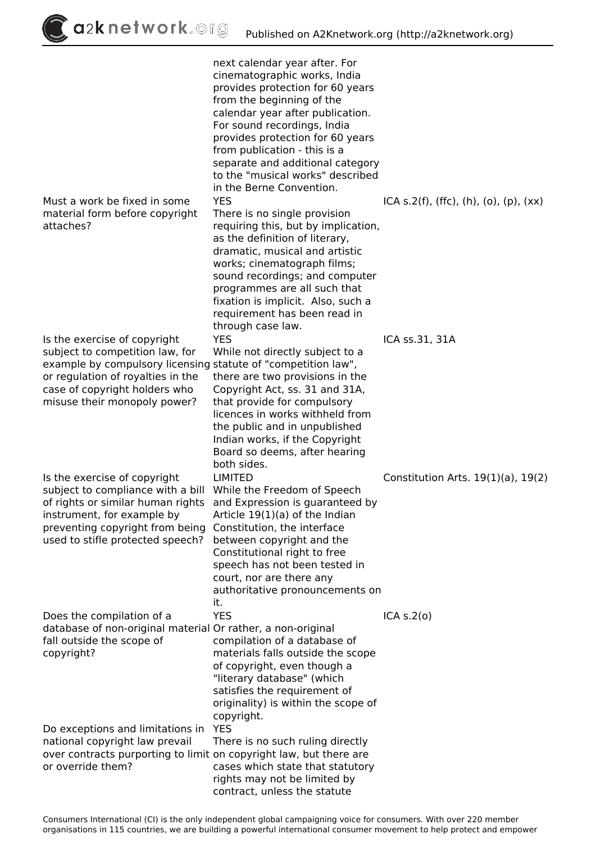$\int$ a2k network.org

|                                                                                                                                                                                                                                                                         | next calendar year after. For<br>cinematographic works, India<br>provides protection for 60 years<br>from the beginning of the<br>calendar year after publication.<br>For sound recordings, India<br>provides protection for 60 years<br>from publication - this is a<br>separate and additional category<br>to the "musical works" described                                 |                                          |
|-------------------------------------------------------------------------------------------------------------------------------------------------------------------------------------------------------------------------------------------------------------------------|-------------------------------------------------------------------------------------------------------------------------------------------------------------------------------------------------------------------------------------------------------------------------------------------------------------------------------------------------------------------------------|------------------------------------------|
| Must a work be fixed in some<br>material form before copyright<br>attaches?                                                                                                                                                                                             | in the Berne Convention.<br><b>YES</b><br>There is no single provision<br>requiring this, but by implication,<br>as the definition of literary,<br>dramatic, musical and artistic<br>works; cinematograph films;<br>sound recordings; and computer<br>programmes are all such that<br>fixation is implicit. Also, such a<br>requirement has been read in<br>through case law. | ICA s.2(f), (ffc), (h), (o), (p), $(xx)$ |
| Is the exercise of copyright<br>subject to competition law, for<br>example by compulsory licensing statute of "competition law",<br>or regulation of royalties in the<br>case of copyright holders who<br>misuse their monopoly power?                                  | <b>YES</b><br>While not directly subject to a<br>there are two provisions in the<br>Copyright Act, ss. 31 and 31A,<br>that provide for compulsory<br>licences in works withheld from<br>the public and in unpublished<br>Indian works, if the Copyright<br>Board so deems, after hearing<br>both sides.                                                                       | ICA ss.31, 31A                           |
| Is the exercise of copyright<br>subject to compliance with a bill While the Freedom of Speech<br>of rights or similar human rights and Expression is guaranteed by<br>instrument, for example by<br>preventing copyright from being<br>used to stifle protected speech? | <b>LIMITED</b><br>Article $19(1)(a)$ of the Indian<br>Constitution, the interface<br>between copyright and the<br>Constitutional right to free<br>speech has not been tested in<br>court, nor are there any<br>authoritative pronouncements on<br>it.                                                                                                                         | Constitution Arts. $19(1)(a)$ , $19(2)$  |
| Does the compilation of a<br>database of non-original material Or rather, a non-original<br>fall outside the scope of<br>copyright?                                                                                                                                     | <b>YES</b><br>compilation of a database of<br>materials falls outside the scope<br>of copyright, even though a<br>"literary database" (which<br>satisfies the requirement of<br>originality) is within the scope of<br>copyright.                                                                                                                                             | ICA S.2(0)                               |
| Do exceptions and limitations in<br>national copyright law prevail<br>over contracts purporting to limit on copyright law, but there are<br>or override them?                                                                                                           | <b>YES</b><br>There is no such ruling directly<br>cases which state that statutory<br>rights may not be limited by<br>contract, unless the statute                                                                                                                                                                                                                            |                                          |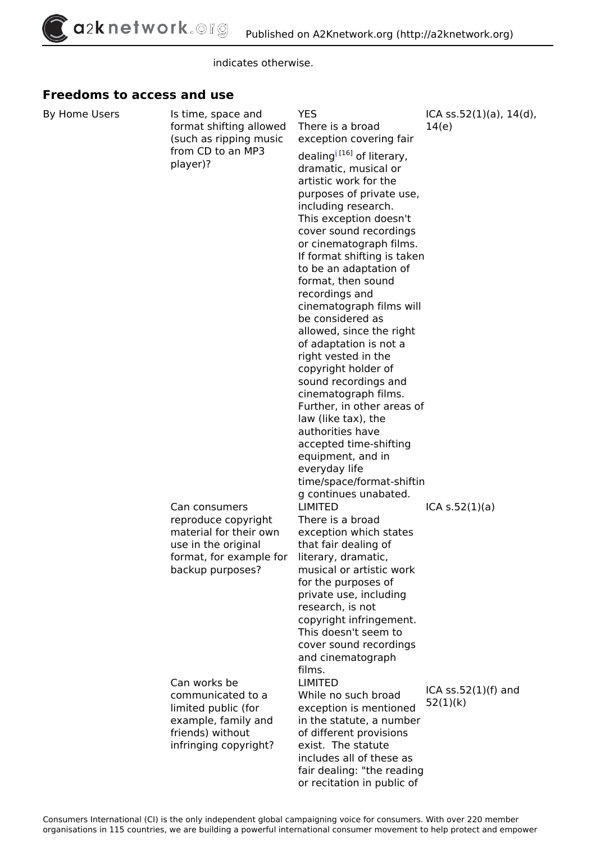*indicates otherwise.*

#### **Freedoms to access and use**

| By Home Users | Is time, space and<br>format shifting allowed<br>(such as ripping music | <b>YES</b><br>There is a broad<br>exception covering fair                             | ICA $ss.52(1)(a)$ , $14(d)$ ,<br>14(e) |
|---------------|-------------------------------------------------------------------------|---------------------------------------------------------------------------------------|----------------------------------------|
|               | from CD to an MP3<br>player)?                                           | dealing <sup>[16]</sup> of literary,<br>dramatic, musical or<br>artistic work for the |                                        |
|               |                                                                         | purposes of private use,                                                              |                                        |
|               |                                                                         | including research.                                                                   |                                        |
|               |                                                                         | This exception doesn't<br>cover sound recordings                                      |                                        |
|               |                                                                         | or cinematograph films.                                                               |                                        |
|               |                                                                         | If format shifting is taken                                                           |                                        |
|               |                                                                         | to be an adaptation of                                                                |                                        |
|               |                                                                         | format, then sound                                                                    |                                        |
|               |                                                                         | recordings and<br>cinematograph films will                                            |                                        |
|               |                                                                         | be considered as                                                                      |                                        |
|               |                                                                         | allowed, since the right                                                              |                                        |
|               |                                                                         | of adaptation is not a                                                                |                                        |
|               |                                                                         | right vested in the                                                                   |                                        |
|               |                                                                         | copyright holder of<br>sound recordings and                                           |                                        |
|               |                                                                         | cinematograph films.                                                                  |                                        |
|               |                                                                         | Further, in other areas of                                                            |                                        |
|               |                                                                         | law (like tax), the                                                                   |                                        |
|               |                                                                         | authorities have                                                                      |                                        |
|               |                                                                         | accepted time-shifting<br>equipment, and in                                           |                                        |
|               |                                                                         | everyday life                                                                         |                                        |
|               |                                                                         | time/space/format-shiftin                                                             |                                        |
|               |                                                                         | g continues unabated.                                                                 |                                        |
|               | Can consumers                                                           | <b>LIMITED</b><br>There is a broad                                                    | ICA s.52(1)(a)                         |
|               | reproduce copyright<br>material for their own                           | exception which states                                                                |                                        |
|               | use in the original                                                     | that fair dealing of                                                                  |                                        |
|               | format, for example for                                                 | literary, dramatic,                                                                   |                                        |
|               | backup purposes?                                                        | musical or artistic work                                                              |                                        |
|               |                                                                         | for the purposes of<br>private use, including                                         |                                        |
|               |                                                                         | research, is not                                                                      |                                        |
|               |                                                                         | copyright infringement.                                                               |                                        |
|               |                                                                         | This doesn't seem to                                                                  |                                        |
|               |                                                                         | cover sound recordings                                                                |                                        |
|               |                                                                         | and cinematograph<br>films.                                                           |                                        |
|               | Can works be                                                            | <b>LIMITED</b>                                                                        |                                        |
|               | communicated to a                                                       | While no such broad                                                                   | ICA $ss.52(1)(f)$ and                  |
|               | limited public (for                                                     | exception is mentioned                                                                | 52(1)(k)                               |
|               | example, family and                                                     | in the statute, a number                                                              |                                        |
|               | friends) without<br>infringing copyright?                               | of different provisions<br>exist. The statute                                         |                                        |
|               |                                                                         | includes all of these as                                                              |                                        |
|               |                                                                         | fair dealing: "the reading                                                            |                                        |

*or recitation in public of*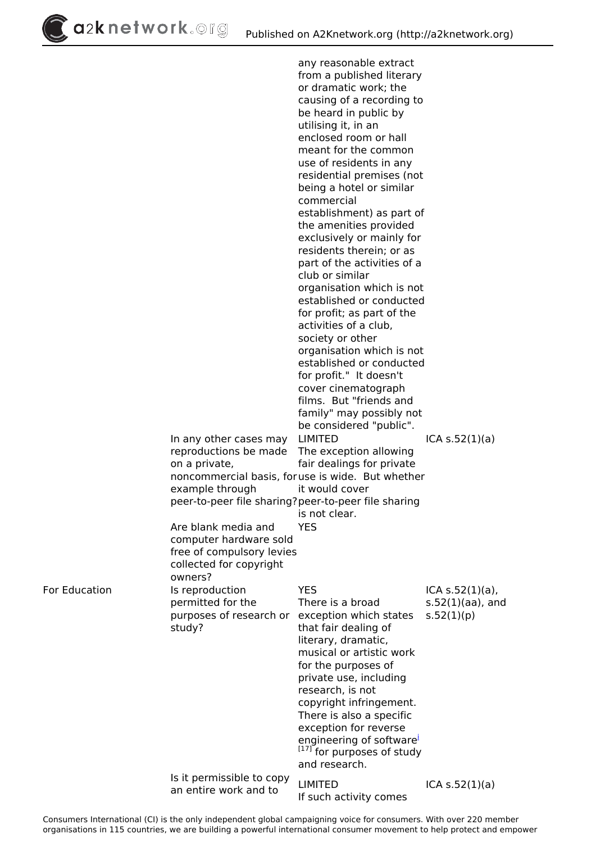a2knetwork. Org

*any reasonable extract from a published literary or dramatic work; the causing of a recording to be heard in public by utilising it, in an enclosed room or hall meant for the common use of residents in any residential premises (not being a hotel or similar commercial establishment) as part of the amenities provided exclusively or mainly for residents therein; or as part of the activities of a club or similar organisation which is not established or conducted for profit; as part of the activities of a club, society or other organisation which is not established or conducted for profit." It doesn't cover cinematograph films. But "friends and family" may possibly not be considered "public". In any other cases may reproductions be made on a private, noncommercial basis, for use is wide. But whether example through peer-to-peer file sharing? peer-to-peer file sharing LIMITED The exception allowing fair dealings for private it would cover is not clear. ICA s.52(1)(a) Are blank media and computer hardware sold free of compulsory levies collected for copyright owners? YES For Education Is reproduction permitted for the purposes of research or exception which states study? YES There is a broad that fair dealing of literary, dramatic, musical or artistic work for the purposes of private use, including research, is not copyright infringement. There is also a specific exception for reverse engineering of software[i](http://a2knetwork.org/fr/glossary/term/63) [17] for purposes of study and research. ICA s.52(1)(a), s.52(1)(aa), and s.52(1)(p) Is it permissible to copy an entire work and to LIMITED If such activity comes ICA s.52(1)(a)*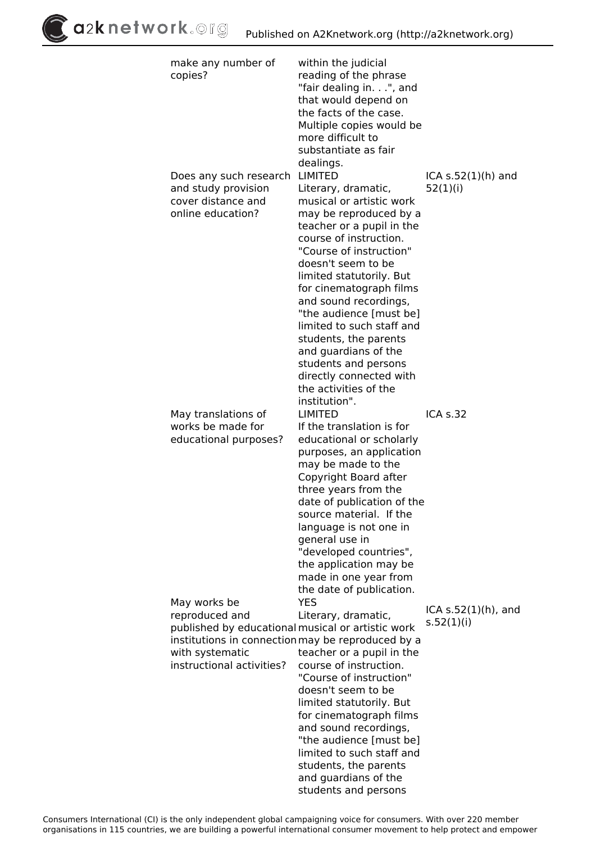$\int$ a2k network.org

| make any number of<br>copies?                                                                                                                          | within the judicial<br>reading of the phrase<br>"fair dealing in.", and<br>that would depend on<br>the facts of the case.<br>Multiple copies would be<br>more difficult to<br>substantiate as fair                                                                                                                                                                                                                                                     |                        |
|--------------------------------------------------------------------------------------------------------------------------------------------------------|--------------------------------------------------------------------------------------------------------------------------------------------------------------------------------------------------------------------------------------------------------------------------------------------------------------------------------------------------------------------------------------------------------------------------------------------------------|------------------------|
| Does any such research                                                                                                                                 | dealings.<br>LIMITED                                                                                                                                                                                                                                                                                                                                                                                                                                   | ICA $s.52(1)$ (h) and  |
| and study provision<br>cover distance and<br>online education?                                                                                         | Literary, dramatic,<br>musical or artistic work<br>may be reproduced by a<br>teacher or a pupil in the<br>course of instruction.<br>"Course of instruction"<br>doesn't seem to be<br>limited statutorily. But<br>for cinematograph films<br>and sound recordings,<br>"the audience [must be]<br>limited to such staff and<br>students, the parents<br>and guardians of the<br>students and persons<br>directly connected with<br>the activities of the | 52(1)(i)               |
| May translations of                                                                                                                                    | institution".<br><b>LIMITED</b>                                                                                                                                                                                                                                                                                                                                                                                                                        | ICA s.32               |
| works be made for<br>educational purposes?                                                                                                             | If the translation is for<br>educational or scholarly<br>purposes, an application<br>may be made to the<br>Copyright Board after<br>three years from the<br>date of publication of the<br>source material. If the<br>language is not one in<br>general use in<br>"developed countries",<br>the application may be<br>made in one year from<br>the date of publication.                                                                                 |                        |
| May works be<br>reproduced and                                                                                                                         | <b>YES</b><br>Literary, dramatic,                                                                                                                                                                                                                                                                                                                                                                                                                      | ICA $s.52(1)(h)$ , and |
| published by educational musical or artistic work<br>institutions in connection may be reproduced by a<br>with systematic<br>instructional activities? | teacher or a pupil in the<br>course of instruction.<br>"Course of instruction"<br>doesn't seem to be<br>limited statutorily. But<br>for cinematograph films<br>and sound recordings,<br>"the audience [must be]<br>limited to such staff and<br>students, the parents<br>and guardians of the<br>students and persons                                                                                                                                  | s.52(1)(i)             |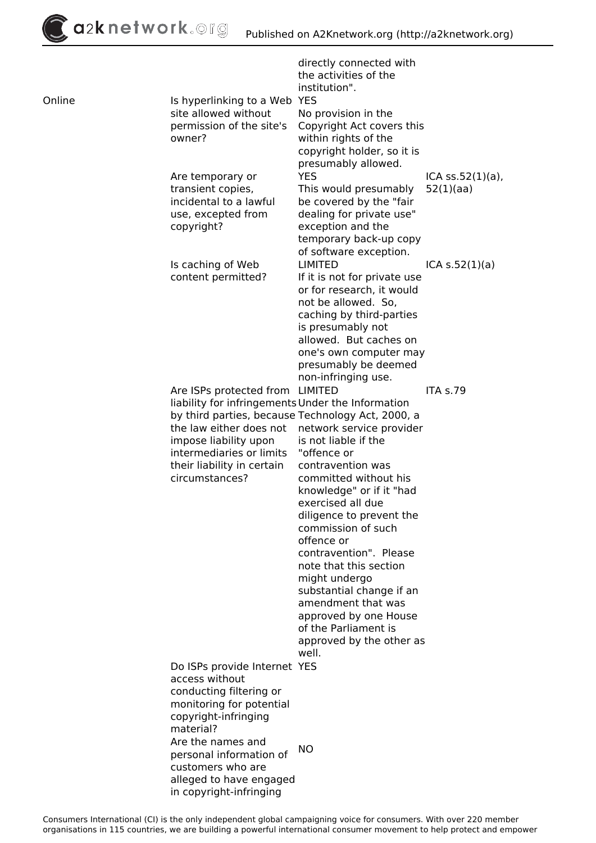*directly connected with the activities of the institution". Online Is hyperlinking to a Web YES site allowed without permission of the site's owner? No provision in the Copyright Act covers this within rights of the copyright holder, so it is presumably allowed. Are temporary or transient copies, incidental to a lawful use, excepted from copyright? YES This would presumably be covered by the "fair dealing for private use" exception and the temporary back-up copy of software exception. ICA ss.52(1)(a), 52(1)(aa) Is caching of Web content permitted? LIMITED If it is not for private use or for research, it would not be allowed. So, caching by third-parties is presumably not allowed. But caches on one's own computer may presumably be deemed non-infringing use. ICA s.52(1)(a) Are ISPs protected from LIMITED liability for infringements Under the Information by third parties, because Technology Act, 2000, a the law either does not network service provider impose liability upon intermediaries or limits their liability in certain circumstances? is not liable if the "offence or contravention was committed without his knowledge" or if it "had exercised all due diligence to prevent the commission of such offence or contravention". Please note that this section might undergo substantial change if an amendment that was approved by one House of the Parliament is approved by the other as well. ITA s.79 Do ISPs provide Internet YES access without conducting filtering or monitoring for potential copyright-infringing material? Are the names and personal information of customers who are alleged to have engaged in copyright-infringing NO*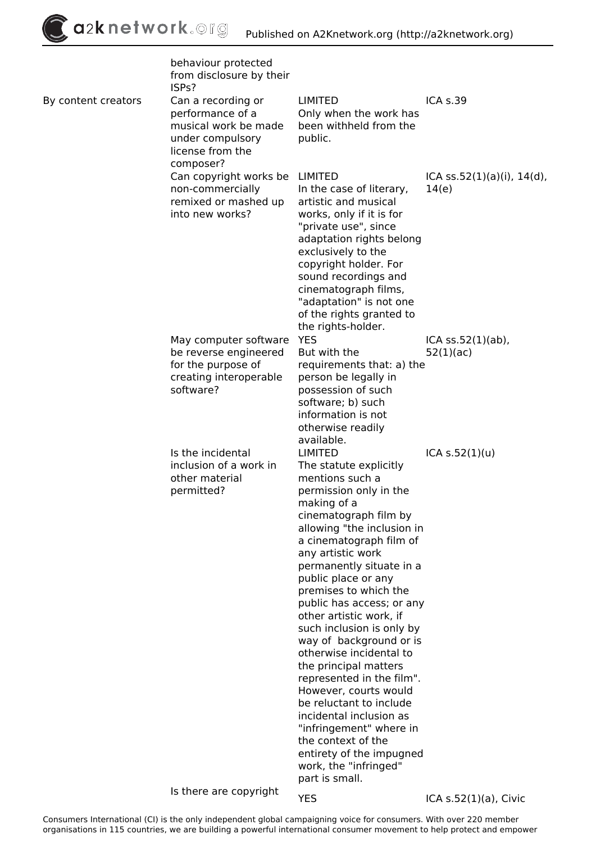|                     | behaviour protected<br>from disclosure by their<br>ISP <sub>S</sub> ?                                               |                                                                                                                                                                                                                                                                                                                                                                                                                                                                                                                                                                                                                                                                                                 |                                           |
|---------------------|---------------------------------------------------------------------------------------------------------------------|-------------------------------------------------------------------------------------------------------------------------------------------------------------------------------------------------------------------------------------------------------------------------------------------------------------------------------------------------------------------------------------------------------------------------------------------------------------------------------------------------------------------------------------------------------------------------------------------------------------------------------------------------------------------------------------------------|-------------------------------------------|
| By content creators | Can a recording or<br>performance of a<br>musical work be made<br>under compulsory<br>license from the<br>composer? | <b>LIMITED</b><br>Only when the work has<br>been withheld from the<br>public.                                                                                                                                                                                                                                                                                                                                                                                                                                                                                                                                                                                                                   | <b>ICA s.39</b>                           |
|                     | Can copyright works be<br>non-commercially<br>remixed or mashed up<br>into new works?                               | LIMITED<br>In the case of literary,<br>artistic and musical<br>works, only if it is for<br>"private use", since<br>adaptation rights belong<br>exclusively to the<br>copyright holder. For<br>sound recordings and<br>cinematograph films,<br>"adaptation" is not one<br>of the rights granted to<br>the rights-holder.                                                                                                                                                                                                                                                                                                                                                                         | ICA $ss.52(1)(a)(i)$ , $14(d)$ ,<br>14(e) |
|                     | May computer software<br>be reverse engineered<br>for the purpose of<br>creating interoperable<br>software?         | <b>YES</b><br>But with the<br>requirements that: a) the<br>person be legally in<br>possession of such<br>software; b) such<br>information is not<br>otherwise readily<br>available.                                                                                                                                                                                                                                                                                                                                                                                                                                                                                                             | $ICA$ ss.52 $(1)(ab)$ ,<br>52(1)(ac)      |
|                     | Is the incidental<br>inclusion of a work in<br>other material<br>permitted?                                         | <b>LIMITED</b><br>The statute explicitly<br>mentions such a<br>permission only in the<br>making of a<br>cinematograph film by<br>allowing "the inclusion in<br>a cinematograph film of<br>any artistic work<br>permanently situate in a<br>public place or any<br>premises to which the<br>public has access; or any<br>other artistic work, if<br>such inclusion is only by<br>way of background or is<br>otherwise incidental to<br>the principal matters<br>represented in the film".<br>However, courts would<br>be reluctant to include<br>incidental inclusion as<br>"infringement" where in<br>the context of the<br>entirety of the impugned<br>work, the "infringed"<br>part is small. | ICA S.52(1)(u)                            |
|                     |                                                                                                                     |                                                                                                                                                                                                                                                                                                                                                                                                                                                                                                                                                                                                                                                                                                 |                                           |

*Is there are copyright*

*YES ICA s.52(1)(a), Civic*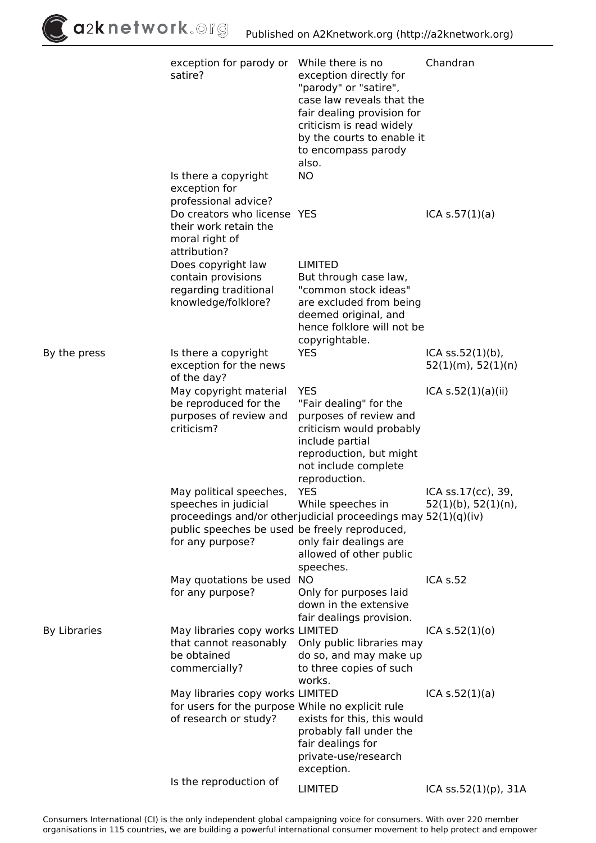$\int$ a2k network.org

|                     | exception for parody or While there is no<br>satire?<br>Is there a copyright<br>exception for                        | exception directly for<br>"parody" or "satire",<br>case law reveals that the<br>fair dealing provision for<br>criticism is read widely<br>by the courts to enable it<br>to encompass parody<br>also.<br><b>NO</b> | Chandran                                          |
|---------------------|----------------------------------------------------------------------------------------------------------------------|-------------------------------------------------------------------------------------------------------------------------------------------------------------------------------------------------------------------|---------------------------------------------------|
|                     | professional advice?<br>Do creators who license YES<br>their work retain the<br>moral right of<br>attribution?       |                                                                                                                                                                                                                   | ICA s.57(1)(a)                                    |
|                     | Does copyright law<br>contain provisions<br>regarding traditional<br>knowledge/folklore?                             | <b>LIMITED</b><br>But through case law,<br>"common stock ideas"<br>are excluded from being<br>deemed original, and<br>hence folklore will not be<br>copyrightable.                                                |                                                   |
| By the press        | Is there a copyright<br>exception for the news                                                                       | <b>YES</b>                                                                                                                                                                                                        | $ICA$ ss.52 $(1)(b)$ ,<br>$52(1)(m)$ , $52(1)(n)$ |
|                     | of the day?<br>May copyright material<br>be reproduced for the<br>purposes of review and<br>criticism?               | <b>YES</b><br>"Fair dealing" for the<br>purposes of review and<br>criticism would probably<br>include partial<br>reproduction, but might<br>not include complete<br>reproduction.                                 | ICA s.52(1)(a)(ii)                                |
|                     | May political speeches,<br>speeches in judicial<br>public speeches be used be freely reproduced,<br>for any purpose? | YES<br>While speeches in<br>proceedings and/or otherjudicial proceedings may 52(1)(q)(iv)<br>only fair dealings are<br>allowed of other public<br>speeches.                                                       | ICA ss.17(cc), 39,<br>$52(1)(b)$ , $52(1)(n)$ ,   |
|                     | May quotations be used NO<br>for any purpose?                                                                        | Only for purposes laid<br>down in the extensive<br>fair dealings provision.                                                                                                                                       | <b>ICA s.52</b>                                   |
| <b>By Libraries</b> | May libraries copy works LIMITED<br>that cannot reasonably<br>be obtained<br>commercially?                           | Only public libraries may<br>do so, and may make up<br>to three copies of such<br>works.                                                                                                                          | ICA S.52(1)(o)                                    |
|                     | May libraries copy works LIMITED<br>for users for the purpose While no explicit rule<br>of research or study?        | exists for this, this would<br>probably fall under the<br>fair dealings for<br>private-use/research<br>exception.                                                                                                 | ICA S.52(1)(a)                                    |
|                     | Is the reproduction of                                                                                               | <b>LIMITED</b>                                                                                                                                                                                                    | ICA ss.52(1)(p), 31A                              |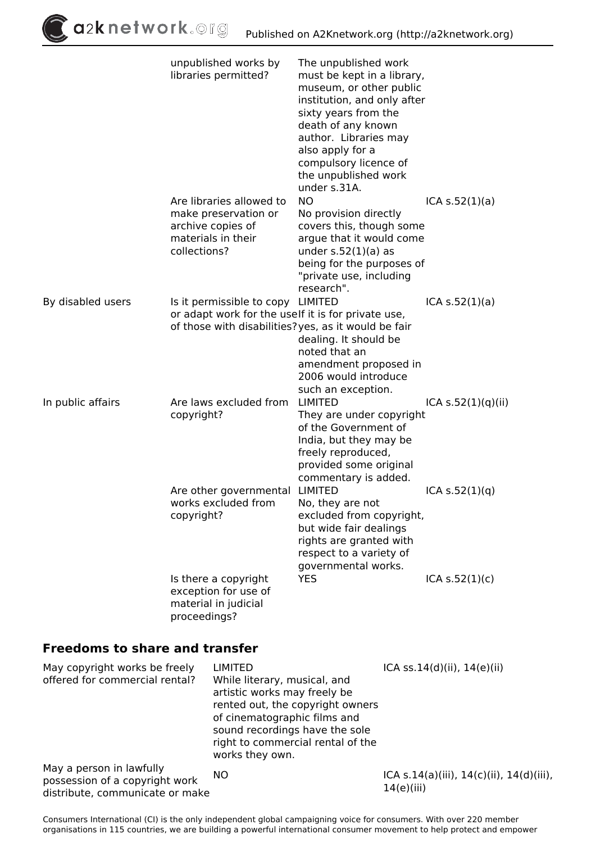|                   | unpublished works by<br>libraries permitted?                                                                                                    | The unpublished work<br>must be kept in a library,<br>museum, or other public<br>institution, and only after<br>sixty years from the<br>death of any known<br>author. Libraries may<br>also apply for a<br>compulsory licence of<br>the unpublished work |                      |
|-------------------|-------------------------------------------------------------------------------------------------------------------------------------------------|----------------------------------------------------------------------------------------------------------------------------------------------------------------------------------------------------------------------------------------------------------|----------------------|
|                   | Are libraries allowed to<br>make preservation or<br>archive copies of<br>materials in their<br>collections?                                     | under s.31A.<br><b>NO</b><br>No provision directly<br>covers this, though some<br>argue that it would come<br>under $s.52(1)(a)$ as<br>being for the purposes of<br>"private use, including<br>research".                                                | ICA s.52(1)(a)       |
| By disabled users | Is it permissible to copy LIMITED<br>or adapt work for the uself it is for private use,<br>of those with disabilities? yes, as it would be fair | dealing. It should be<br>noted that an<br>amendment proposed in<br>2006 would introduce<br>such an exception.                                                                                                                                            | ICA s.52(1)(a)       |
| In public affairs | Are laws excluded from<br>copyright?                                                                                                            | <b>LIMITED</b><br>They are under copyright<br>of the Government of<br>India, but they may be<br>freely reproduced,<br>provided some original<br>commentary is added.                                                                                     | ICA $s.52(1)(q)(ii)$ |
|                   | Are other governmental<br>works excluded from<br>copyright?                                                                                     | <b>LIMITED</b><br>No, they are not<br>excluded from copyright,<br>but wide fair dealings<br>rights are granted with<br>respect to a variety of<br>governmental works.                                                                                    | ICA $s.52(1)(q)$     |
|                   | Is there a copyright<br>exception for use of<br>material in judicial                                                                            | <b>YES</b>                                                                                                                                                                                                                                               | ICA S.52(1)(c)       |

### **Freedoms to share and transfer**

*proceedings?*

| May copyright works be freely<br>offered for commercial rental?                               | <b>LIMITED</b><br>While literary, musical, and<br>artistic works may freely be<br>rented out, the copyright owners<br>of cinematographic films and<br>sound recordings have the sole<br>right to commercial rental of the<br>works they own. | ICA ss. $14(d)(ii)$ , $14(e)(ii)$                            |
|-----------------------------------------------------------------------------------------------|----------------------------------------------------------------------------------------------------------------------------------------------------------------------------------------------------------------------------------------------|--------------------------------------------------------------|
| May a person in lawfully<br>possession of a copyright work<br>distribute, communicate or make | NO.                                                                                                                                                                                                                                          | ICA s.14(a)(iii), $14(c)$ (ii), $14(d)$ (iii),<br>14(e)(iii) |

*Consumers International (CI) is the only independent global campaigning voice for consumers. With over 220 member* organisations in 115 countries, we are building a powerful international consumer movement to help protect **მad**��**npt��**r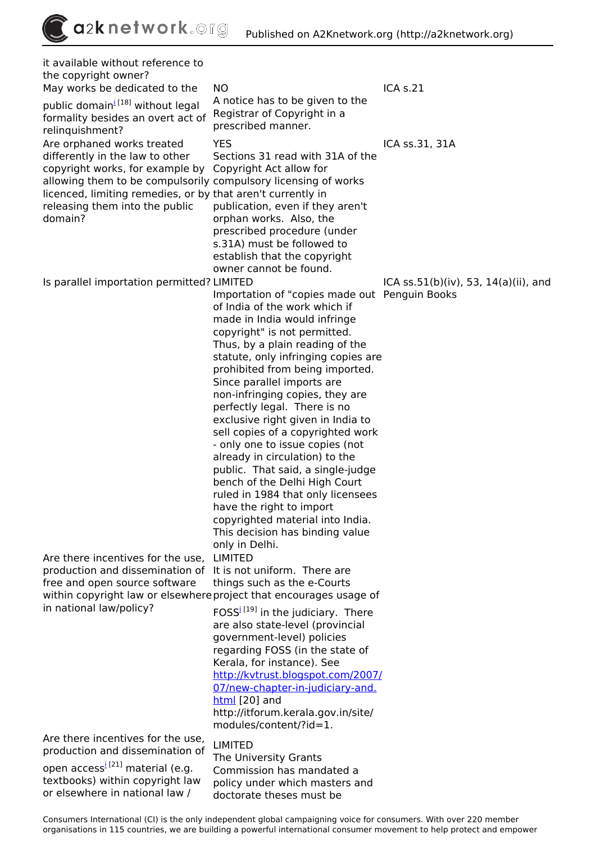*it available without reference to the copyright owner? May works be dedicated to the public domain[i](http://a2knetwork.org/fr/glossary/term/65) [18] without legal formality besides an overt act of relinquishment? NO A notice has to be given to the Registrar of Copyright in a prescribed manner. ICA s.21 Are orphaned works treated differently in the law to other copyright works, for example by allowing them to be compulsorily compulsory licensing of works licenced, limiting remedies, or by that aren't currently in releasing them into the public domain? YES Sections 31 read with 31A of the Copyright Act allow for publication, even if they aren't orphan works. Also, the prescribed procedure (under s.31A) must be followed to establish that the copyright owner cannot be found. ICA ss.31, 31A Is parallel importation permitted? LIMITED Importation of "copies made out Penguin Books of India of the work which if made in India would infringe copyright" is not permitted. Thus, by a plain reading of the statute, only infringing copies are prohibited from being imported. Since parallel imports are non-infringing copies, they are perfectly legal. There is no exclusive right given in India to sell copies of a copyrighted work - only one to issue copies (not already in circulation) to the public. That said, a single-judge bench of the Delhi High Court ruled in 1984 that only licensees have the right to import copyrighted material into India. This decision has binding value only in Delhi. ICA ss.51(b)(iv), 53, 14(a)(ii), and Are there incentives for the use, production and dissemination of free and open source software within copyright law or elsewhere project that encourages usage of in national law/policy? LIMITED It is not uniform. There are things such as the e-Courts FOSS[i](http://a2knetwork.org/fr/glossary/term/70) [19] in the judiciary. There are also state-level (provincial government-level) policies regarding FOSS (in the state of Kerala, for instance). See [http://kvtrust.blogspot.com/2007/](http://kvtrust.blogspot.com/2007/07/new-chapter-in-judiciary-and.html) [07/new-chapter-in-judiciary-and.](http://kvtrust.blogspot.com/2007/07/new-chapter-in-judiciary-and.html) [html](http://kvtrust.blogspot.com/2007/07/new-chapter-in-judiciary-and.html) [20] and http://itforum.kerala.gov.in/site/ modules/content/?id=1. Are there incentives for the use, production and dissemination of open access[i](http://a2knetwork.org/fr/glossary/term/68) [21] material (e.g. textbooks) within copyright law or elsewhere in national law / LIMITED The University Grants Commission has mandated a policy under which masters and doctorate theses must be*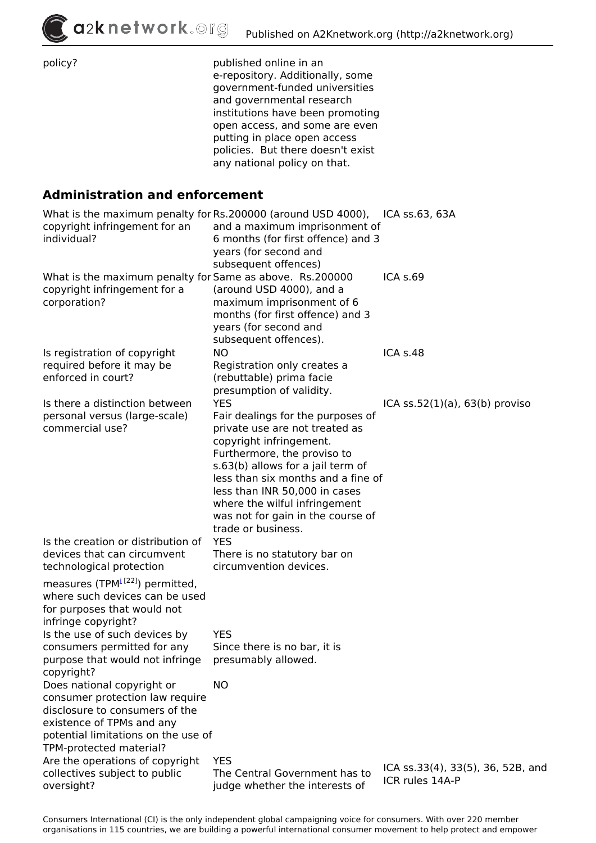$\int$ a2knetwork.©rg

| policy?                                                                                                                                                                                                                               | published online in an<br>e-repository. Additionally, some<br>government-funded universities<br>and governmental research<br>institutions have been promoting<br>open access, and some are even<br>putting in place open access<br>policies. But there doesn't exist<br>any national policy on that.                                                |                                                      |
|---------------------------------------------------------------------------------------------------------------------------------------------------------------------------------------------------------------------------------------|-----------------------------------------------------------------------------------------------------------------------------------------------------------------------------------------------------------------------------------------------------------------------------------------------------------------------------------------------------|------------------------------------------------------|
| <b>Administration and enforcement</b>                                                                                                                                                                                                 |                                                                                                                                                                                                                                                                                                                                                     |                                                      |
| What is the maximum penalty for Rs.200000 (around USD 4000),<br>copyright infringement for an<br>individual?                                                                                                                          | and a maximum imprisonment of<br>6 months (for first offence) and 3<br>years (for second and<br>subsequent offences)                                                                                                                                                                                                                                | ICA ss.63, 63A                                       |
| What is the maximum penalty for Same as above. Rs.200000<br>copyright infringement for a<br>corporation?                                                                                                                              | (around USD 4000), and a<br>maximum imprisonment of 6<br>months (for first offence) and 3<br>years (for second and<br>subsequent offences).                                                                                                                                                                                                         | ICA s.69                                             |
| Is registration of copyright<br>required before it may be<br>enforced in court?                                                                                                                                                       | <b>NO</b><br>Registration only creates a<br>(rebuttable) prima facie<br>presumption of validity.                                                                                                                                                                                                                                                    | ICA s.48                                             |
| Is there a distinction between<br>personal versus (large-scale)<br>commercial use?                                                                                                                                                    | <b>YES</b><br>Fair dealings for the purposes of<br>private use are not treated as<br>copyright infringement.<br>Furthermore, the proviso to<br>s.63(b) allows for a jail term of<br>less than six months and a fine of<br>less than INR 50,000 in cases<br>where the wilful infringement<br>was not for gain in the course of<br>trade or business. | ICA $ss.52(1)(a)$ , $63(b)$ proviso                  |
| Is the creation or distribution of<br>devices that can circumvent<br>technological protection<br>measures (TPM <sup>i [22]</sup> ) permitted,<br>where such devices can be used<br>for purposes that would not<br>infringe copyright? | <b>YES</b><br>There is no statutory bar on<br>circumvention devices.                                                                                                                                                                                                                                                                                |                                                      |
| Is the use of such devices by<br>consumers permitted for any<br>purpose that would not infringe<br>copyright?                                                                                                                         | <b>YES</b><br>Since there is no bar, it is<br>presumably allowed.                                                                                                                                                                                                                                                                                   |                                                      |
| Does national copyright or<br>consumer protection law require<br>disclosure to consumers of the<br>existence of TPMs and any<br>potential limitations on the use of<br>TPM-protected material?                                        | <b>NO</b>                                                                                                                                                                                                                                                                                                                                           |                                                      |
| Are the operations of copyright<br>collectives subject to public<br>oversight?                                                                                                                                                        | <b>YES</b><br>The Central Government has to<br>judge whether the interests of                                                                                                                                                                                                                                                                       | ICA ss.33(4), 33(5), 36, 52B, and<br>ICR rules 14A-P |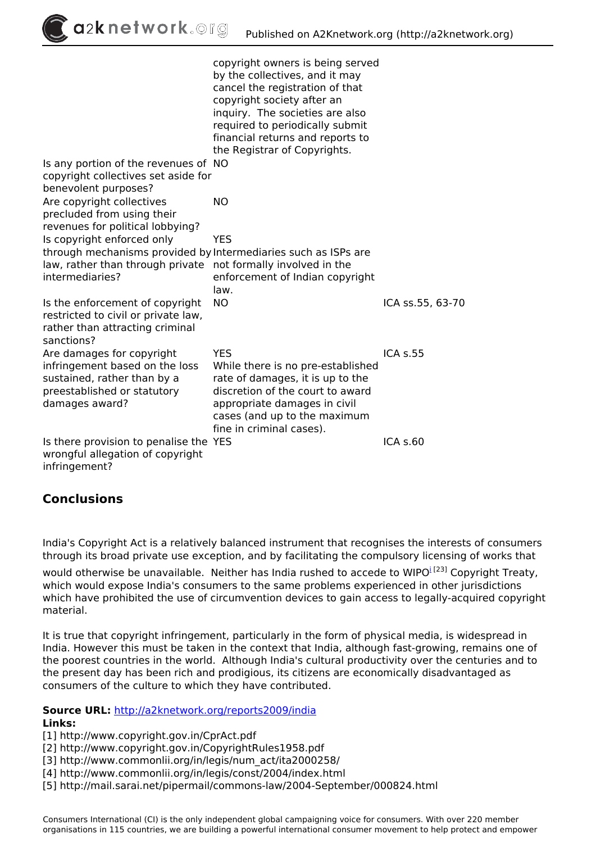| a2knetwork. Org                                                                                                                                    | Published on A2Knetwork.org (http://a2knetwork.org)                                                                                                                                                                                                                           |                  |
|----------------------------------------------------------------------------------------------------------------------------------------------------|-------------------------------------------------------------------------------------------------------------------------------------------------------------------------------------------------------------------------------------------------------------------------------|------------------|
|                                                                                                                                                    | copyright owners is being served<br>by the collectives, and it may<br>cancel the registration of that<br>copyright society after an<br>inquiry. The societies are also<br>required to periodically submit<br>financial returns and reports to<br>the Registrar of Copyrights. |                  |
| Is any portion of the revenues of NO<br>copyright collectives set aside for<br>benevolent purposes?                                                |                                                                                                                                                                                                                                                                               |                  |
| Are copyright collectives<br>precluded from using their<br>revenues for political lobbying?                                                        | <b>NO</b>                                                                                                                                                                                                                                                                     |                  |
| Is copyright enforced only                                                                                                                         | <b>YES</b>                                                                                                                                                                                                                                                                    |                  |
| through mechanisms provided by Intermediaries such as ISPs are<br>law, rather than through private not formally involved in the<br>intermediaries? | enforcement of Indian copyright<br>law.                                                                                                                                                                                                                                       |                  |
| Is the enforcement of copyright<br>restricted to civil or private law,<br>rather than attracting criminal<br>sanctions?                            | <b>NO</b>                                                                                                                                                                                                                                                                     | ICA ss.55, 63-70 |
| Are damages for copyright<br>infringement based on the loss<br>sustained, rather than by a<br>preestablished or statutory<br>damages award?        | <b>YES</b><br>While there is no pre-established<br>rate of damages, it is up to the<br>discretion of the court to award<br>appropriate damages in civil<br>cases (and up to the maximum<br>fine in criminal cases).                                                           | <b>ICA s.55</b>  |
| Is there provision to penalise the YES<br>wrongful allegation of copyright<br>infringement?                                                        |                                                                                                                                                                                                                                                                               | ICA s.60         |

## **Conclusions**

*India's Copyright Act is a relatively balanced instrument that recognises the interests of consumers through its broad private use exception, and by facilitating the compulsory licensing of works that*

*would otherw[i](http://a2knetwork.org/fr/glossary/term/45)se be unavailable. Neither has India rushed to accede to WIPO<sup><i>i*</sup> [23]</sup> Copyright Treaty, *which would expose India's consumers to the same problems experienced in other jurisdictions which have prohibited the use of circumvention devices to gain access to legally-acquired copyright material.*

*It is true that copyright infringement, particularly in the form of physical media, is widespread in India. However this must be taken in the context that India, although fast-growing, remains one of the poorest countries in the world. Although India's cultural productivity over the centuries and to the present day has been rich and prodigious, its citizens are economically disadvantaged as consumers of the culture to which they have contributed.*

**Source URL:** *<http://a2knetwork.org/reports2009/india>*

#### **Links:**

*[1] http://www.copyright.gov.in/CprAct.pdf*

*[2] http://www.copyright.gov.in/CopyrightRules1958.pdf*

*[3] http://www.commonlii.org/in/legis/num\_act/ita2000258/*

*[4] http://www.commonlii.org/in/legis/const/2004/index.html*

*[5] http://mail.sarai.net/pipermail/commons-law/2004-September/000824.html*